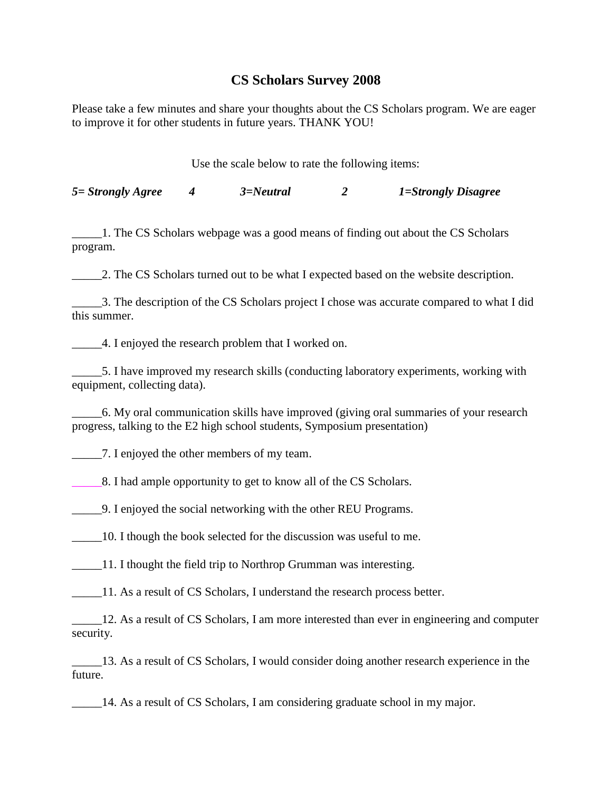## **CS Scholars Survey 2008**

Please take a few minutes and share your thoughts about the CS Scholars program. We are eager to improve it for other students in future years. THANK YOU!

Use the scale below to rate the following items:

*5= Strongly Agree 4 3=Neutral 2 1=Strongly Disagree*

\_\_\_\_\_1. The CS Scholars webpage was a good means of finding out about the CS Scholars program.

\_\_\_\_\_2. The CS Scholars turned out to be what I expected based on the website description.

\_\_\_\_\_3. The description of the CS Scholars project I chose was accurate compared to what I did this summer.

\_\_\_\_\_4. I enjoyed the research problem that I worked on.

\_\_\_\_\_5. I have improved my research skills (conducting laboratory experiments, working with equipment, collecting data).

\_\_\_\_\_6. My oral communication skills have improved (giving oral summaries of your research progress, talking to the E2 high school students, Symposium presentation)

\_\_\_\_\_7. I enjoyed the other members of my team.

\_\_\_\_\_8. I had ample opportunity to get to know all of the CS Scholars.

\_\_\_\_\_9. I enjoyed the social networking with the other REU Programs.

\_\_\_\_\_10. I though the book selected for the discussion was useful to me.

\_\_\_\_\_11. I thought the field trip to Northrop Grumman was interesting.

\_\_\_\_\_11. As a result of CS Scholars, I understand the research process better.

12. As a result of CS Scholars, I am more interested than ever in engineering and computer security.

\_\_\_\_\_13. As a result of CS Scholars, I would consider doing another research experience in the future.

\_\_\_\_\_14. As a result of CS Scholars, I am considering graduate school in my major.